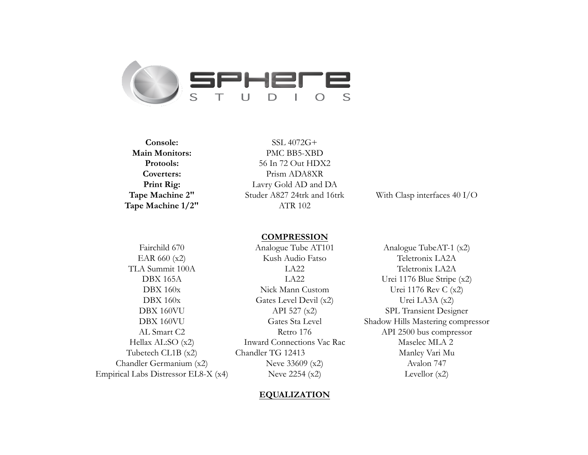

**Tape Machine 1/2"** ATR 102

**Console:** SSL 4072G+ **Main Monitors:** PMC BB5-XBD **Protools:** 56 In 72 Out HDX2 **Coverters:** Prism ADA8XR **Print Rig:** Lavry Gold AD and DA **Tape Machine 2"** Studer A827 24trk and 16trk With Clasp interfaces 40 I/O

# **COMPRESSION**

Chandler Germanium (x2) Neve 33609 (x2) Avalon 747 Empirical Labs Distressor EL8-X (x4) Neve 2254 (x2) Levellor (x2)

EAR 660 (x2) Kush Audio Fatso Teletronix LA2A TLA Summit 100A LA22 Teletronix LA2A DBX 165A LA22 Urei 1176 Blue Stripe (x2) DBX 160x Nick Mann Custom Urei 1176 Rev C (x2) DBX 160x Gates Level Devil (x2) Urei LA3A (x2) DBX 160VU API 527 (x2) SPL Transient Designer AL Smart C2 Retro 176 API 2500 bus compressor Hellax AL:SO (x2) Inward Connections Vac Rac Maselec MLA 2 Tubetech CL1B (x2) Chandler TG 12413 Manley Vari Mu

Fairchild 670 Analogue Tube AT101 Analogue TubeAT-1 (x2) DBX 160VU Gates Sta Level Shadow Hills Mastering compressor

# **EQUALIZATION**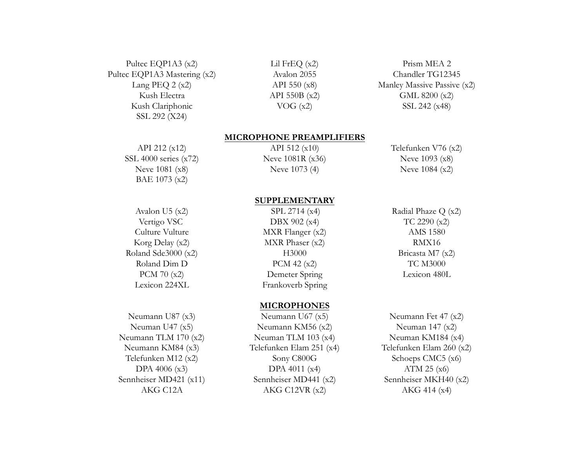Pultec EQP1A3 (x2) Lil FrEQ (x2) Prism MEA 2 Pultec EQP1A3 Mastering (x2)  $\alpha$  Avalon 2055 Chandler TG12345 Kush Electra  $API 550B (x2)$  GML 8200 (x2) Kush Clariphonic  $VOG (x2)$  SSL 242 (x48) SSL 292 (X24)

Lang PEQ 2 (x2) API 550 (x8) Manley Massive Passive (x2)

## **MICROPHONE PREAMPLIFIERS**

SSL 4000 series (x72) Neve 1081R (x36) Neve 1093 (x8) BAE 1073 (x2)

Neve 1081 (x8) Neve 1073 (4) Neve 1084 (x2)

API 212 (x12) API 512 (x10) Telefunken V76 (x2)

# Roland Sde3000 (x2) H3000 H3000 Bricasta M7 (x2)

# **SUPPLEMENTARY**

Avalon U5 (x2) SPL 2714 (x4) Radial Phaze Q (x2) Vertigo VSC DBX 902 (x4) TC 2290 (x2) Culture Vulture **MXR** Flanger (x2) AMS 1580 Korg Delay (x2) MXR Phaser (x2) RMX16 Roland Dim D  $PCM 42 (x2)$  TC M3000 PCM 70 (x2) Demeter Spring Lexicon 480L Lexicon 224XL Frankoverb Spring

# **MICROPHONES**

Neumann U87 (x3) Neumann U67 (x5) Neumann Fet 47 (x2) Neuman U47 (x5) Neumann KM56 (x2) Neuman 147 (x2) Neumann TLM 170 (x2) Neuman TLM 103 (x4) Neuman KM184 (x4) Neumann KM84 (x3) Telefunken Elam 251 (x4) Telefunken Elam 260 (x2) Telefunken M12 (x2) Sony C800G Schoeps CMC5 (x6) DPA 4006 (x3) DPA 4011 (x4) ATM 25 (x6) Sennheiser MD421 (x11) Sennheiser MD441 (x2) Sennheiser MKH40 (x2) AKG C12A AKG C12VR (x2) AKG 414 (x4)